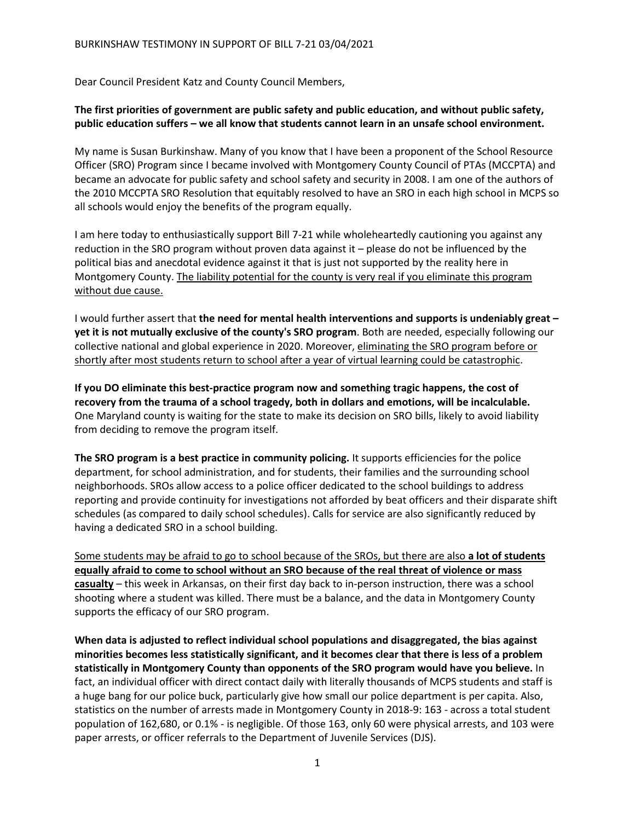Dear Council President Katz and County Council Members,

## **The first priorities of government are public safety and public education, and without public safety, public education suffers – we all know that students cannot learn in an unsafe school environment.**

My name is Susan Burkinshaw. Many of you know that I have been a proponent of the School Resource Officer (SRO) Program since I became involved with Montgomery County Council of PTAs (MCCPTA) and became an advocate for public safety and school safety and security in 2008. I am one of the authors of the 2010 MCCPTA SRO Resolution that equitably resolved to have an SRO in each high school in MCPS so all schools would enjoy the benefits of the program equally.

I am here today to enthusiastically support Bill 7-21 while wholeheartedly cautioning you against any reduction in the SRO program without proven data against it – please do not be influenced by the political bias and anecdotal evidence against it that is just not supported by the reality here in Montgomery County. The liability potential for the county is very real if you eliminate this program without due cause.

I would further assert that **the need for mental health interventions and supports is undeniably great – yet it is not mutually exclusive of the county's SRO program**. Both are needed, especially following our collective national and global experience in 2020. Moreover, eliminating the SRO program before or shortly after most students return to school after a year of virtual learning could be catastrophic.

**If you DO eliminate this best-practice program now and something tragic happens, the cost of recovery from the trauma of a school tragedy, both in dollars and emotions, will be incalculable.** One Maryland county is waiting for the state to make its decision on SRO bills, likely to avoid liability from deciding to remove the program itself.

**The SRO program is a best practice in community policing.** It supports efficiencies for the police department, for school administration, and for students, their families and the surrounding school neighborhoods. SROs allow access to a police officer dedicated to the school buildings to address reporting and provide continuity for investigations not afforded by beat officers and their disparate shift schedules (as compared to daily school schedules). Calls for service are also significantly reduced by having a dedicated SRO in a school building.

Some students may be afraid to go to school because of the SROs, but there are also **a lot of students equally afraid to come to school without an SRO because of the real threat of violence or mass casualty** – this week in Arkansas, on their first day back to in-person instruction, there was a school shooting where a student was killed. There must be a balance, and the data in Montgomery County supports the efficacy of our SRO program.

**When data is adjusted to reflect individual school populations and disaggregated, the bias against minorities becomes less statistically significant, and it becomes clear that there is less of a problem statistically in Montgomery County than opponents of the SRO program would have you believe.** In fact, an individual officer with direct contact daily with literally thousands of MCPS students and staff is a huge bang for our police buck, particularly give how small our police department is per capita. Also, statistics on the number of arrests made in Montgomery County in 2018-9: 163 - across a total student population of 162,680, or 0.1% - is negligible. Of those 163, only 60 were physical arrests, and 103 were paper arrests, or officer referrals to the Department of Juvenile Services (DJS).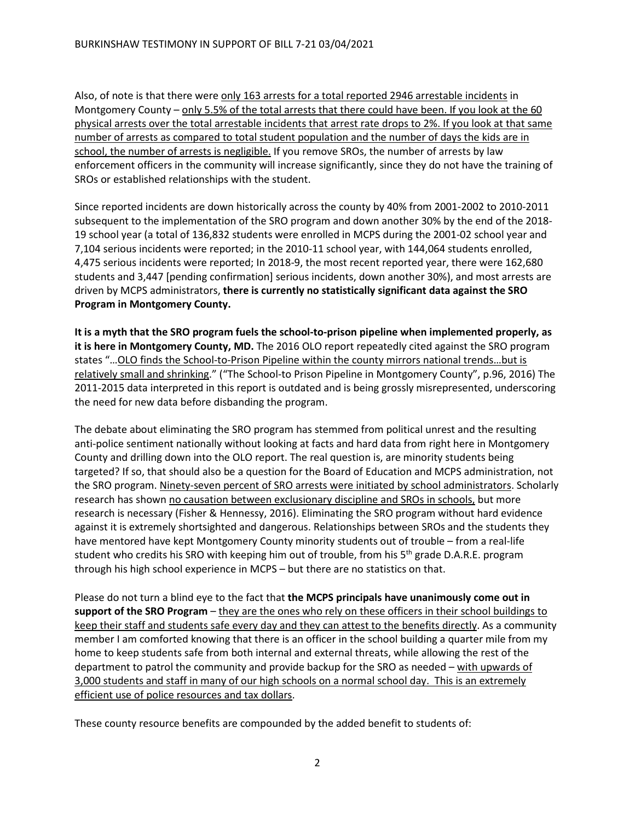Also, of note is that there were only 163 arrests for a total reported 2946 arrestable incidents in Montgomery County – only 5.5% of the total arrests that there could have been. If you look at the 60 physical arrests over the total arrestable incidents that arrest rate drops to 2%. If you look at that same number of arrests as compared to total student population and the number of days the kids are in school, the number of arrests is negligible. If you remove SROs, the number of arrests by law enforcement officers in the community will increase significantly, since they do not have the training of SROs or established relationships with the student.

Since reported incidents are down historically across the county by 40% from 2001-2002 to 2010-2011 subsequent to the implementation of the SRO program and down another 30% by the end of the 2018- 19 school year (a total of 136,832 students were enrolled in MCPS during the 2001-02 school year and 7,104 serious incidents were reported; in the 2010-11 school year, with 144,064 students enrolled, 4,475 serious incidents were reported; In 2018-9, the most recent reported year, there were 162,680 students and 3,447 [pending confirmation] serious incidents, down another 30%), and most arrests are driven by MCPS administrators, **there is currently no statistically significant data against the SRO Program in Montgomery County.**

**It is a myth that the SRO program fuels the school-to-prison pipeline when implemented properly, as it is here in Montgomery County, MD.** The 2016 OLO report repeatedly cited against the SRO program states "…OLO finds the School-to-Prison Pipeline within the county mirrors national trends…but is relatively small and shrinking." ("The School-to Prison Pipeline in Montgomery County", p.96, 2016) The 2011-2015 data interpreted in this report is outdated and is being grossly misrepresented, underscoring the need for new data before disbanding the program.

The debate about eliminating the SRO program has stemmed from political unrest and the resulting anti-police sentiment nationally without looking at facts and hard data from right here in Montgomery County and drilling down into the OLO report. The real question is, are minority students being targeted? If so, that should also be a question for the Board of Education and MCPS administration, not the SRO program. Ninety-seven percent of SRO arrests were initiated by school administrators. Scholarly research has shown no causation between exclusionary discipline and SROs in schools, but more research is necessary (Fisher & Hennessy, 2016). Eliminating the SRO program without hard evidence against it is extremely shortsighted and dangerous. Relationships between SROs and the students they have mentored have kept Montgomery County minority students out of trouble – from a real-life student who credits his SRO with keeping him out of trouble, from his 5<sup>th</sup> grade D.A.R.E. program through his high school experience in MCPS – but there are no statistics on that.

Please do not turn a blind eye to the fact that **the MCPS principals have unanimously come out in support of the SRO Program** – they are the ones who rely on these officers in their school buildings to keep their staff and students safe every day and they can attest to the benefits directly. As a community member I am comforted knowing that there is an officer in the school building a quarter mile from my home to keep students safe from both internal and external threats, while allowing the rest of the department to patrol the community and provide backup for the SRO as needed – with upwards of 3,000 students and staff in many of our high schools on a normal school day. This is an extremely efficient use of police resources and tax dollars.

These county resource benefits are compounded by the added benefit to students of: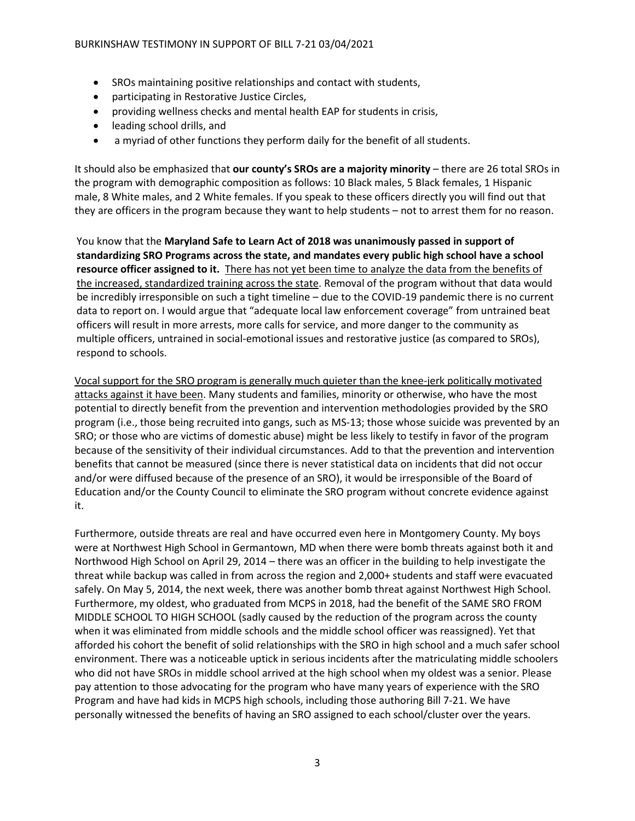- SROs maintaining positive relationships and contact with students,
- participating in Restorative Justice Circles,
- providing wellness checks and mental health EAP for students in crisis,
- leading school drills, and
- a myriad of other functions they perform daily for the benefit of all students.

It should also be emphasized that **our county's SROs are a majority minority** – there are 26 total SROs in the program with demographic composition as follows: 10 Black males, 5 Black females, 1 Hispanic male, 8 White males, and 2 White females. If you speak to these officers directly you will find out that they are officers in the program because they want to help students – not to arrest them for no reason.

You know that the **Maryland Safe to Learn Act of 2018 was unanimously passed in support of standardizing SRO Programs across the state, and mandates every public high school have a school resource officer assigned to it.** There has not yet been time to analyze the data from the benefits of the increased, standardized training across the state. Removal of the program without that data would be incredibly irresponsible on such a tight timeline – due to the COVID-19 pandemic there is no current data to report on. I would argue that "adequate local law enforcement coverage" from untrained beat officers will result in more arrests, more calls for service, and more danger to the community as multiple officers, untrained in social-emotional issues and restorative justice (as compared to SROs), respond to schools.

Vocal support for the SRO program is generally much quieter than the knee-jerk politically motivated attacks against it have been. Many students and families, minority or otherwise, who have the most potential to directly benefit from the prevention and intervention methodologies provided by the SRO program (i.e., those being recruited into gangs, such as MS-13; those whose suicide was prevented by an SRO; or those who are victims of domestic abuse) might be less likely to testify in favor of the program because of the sensitivity of their individual circumstances. Add to that the prevention and intervention benefits that cannot be measured (since there is never statistical data on incidents that did not occur and/or were diffused because of the presence of an SRO), it would be irresponsible of the Board of Education and/or the County Council to eliminate the SRO program without concrete evidence against it.

Furthermore, outside threats are real and have occurred even here in Montgomery County. My boys were at Northwest High School in Germantown, MD when there were bomb threats against both it and Northwood High School on April 29, 2014 – there was an officer in the building to help investigate the threat while backup was called in from across the region and 2,000+ students and staff were evacuated safely. On May 5, 2014, the next week, there was another bomb threat against Northwest High School. Furthermore, my oldest, who graduated from MCPS in 2018, had the benefit of the SAME SRO FROM MIDDLE SCHOOL TO HIGH SCHOOL (sadly caused by the reduction of the program across the county when it was eliminated from middle schools and the middle school officer was reassigned). Yet that afforded his cohort the benefit of solid relationships with the SRO in high school and a much safer school environment. There was a noticeable uptick in serious incidents after the matriculating middle schoolers who did not have SROs in middle school arrived at the high school when my oldest was a senior. Please pay attention to those advocating for the program who have many years of experience with the SRO Program and have had kids in MCPS high schools, including those authoring Bill 7-21. We have personally witnessed the benefits of having an SRO assigned to each school/cluster over the years.